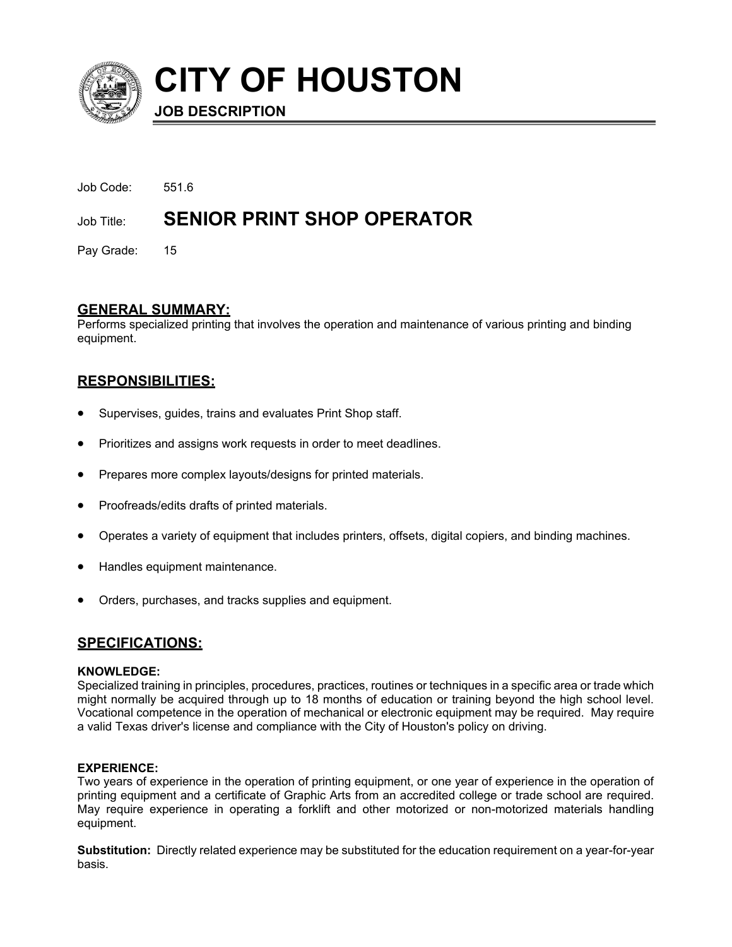

**CITY OF HOUSTON**

**JOB DESCRIPTION**

| Job Code: | 5516                                         |
|-----------|----------------------------------------------|
|           | Job Title: <b>SENIOR PRINT SHOP OPERATOR</b> |

Pay Grade: 15

# **GENERAL SUMMARY:**

Performs specialized printing that involves the operation and maintenance of various printing and binding equipment.

# **RESPONSIBILITIES:**

- Supervises, guides, trains and evaluates Print Shop staff.
- Prioritizes and assigns work requests in order to meet deadlines.
- Prepares more complex layouts/designs for printed materials.
- Proofreads/edits drafts of printed materials.
- Operates a variety of equipment that includes printers, offsets, digital copiers, and binding machines.
- Handles equipment maintenance.
- Orders, purchases, and tracks supplies and equipment.

## **SPECIFICATIONS:**

## **KNOWLEDGE:**

Specialized training in principles, procedures, practices, routines or techniques in a specific area or trade which might normally be acquired through up to 18 months of education or training beyond the high school level. Vocational competence in the operation of mechanical or electronic equipment may be required. May require a valid Texas driver's license and compliance with the City of Houston's policy on driving.

## **EXPERIENCE:**

Two years of experience in the operation of printing equipment, or one year of experience in the operation of printing equipment and a certificate of Graphic Arts from an accredited college or trade school are required. May require experience in operating a forklift and other motorized or non-motorized materials handling equipment.

**Substitution:** Directly related experience may be substituted for the education requirement on a year-for-year basis.